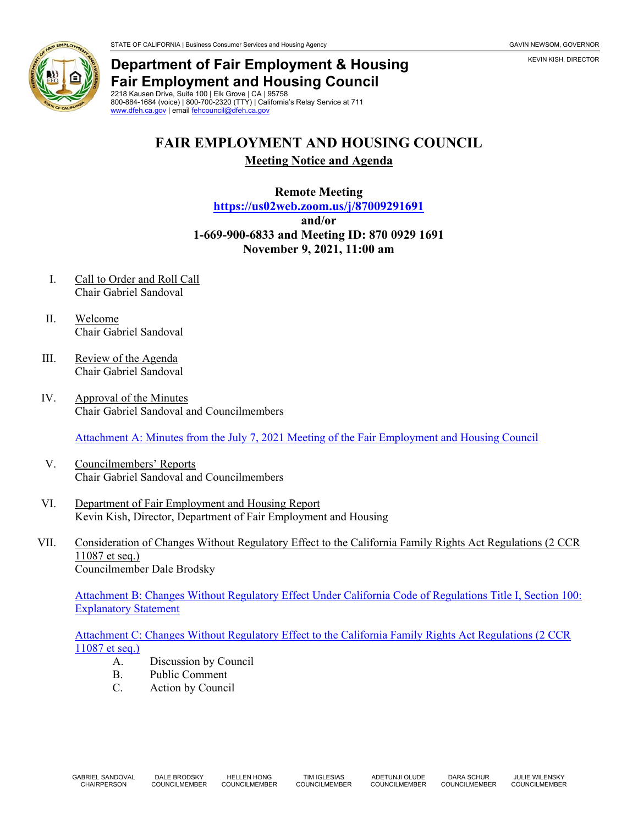## **Department of Fair Employment & Housing Fair Employment and Housing Council** 2218 Kausen Drive, Suite 100 | Elk Grove | CA | 95758

800-884-1684 (voice) | 800-700-2320 (TTY) | California's Relay Service at 711 [www.dfeh.ca.gov](https://www.dfeh.ca.gov/) | emai[l fehcouncil@dfeh.ca.gov](mailto:fehcouncil@dfeh.ca.gov)

## **FAIR EMPLOYMENT AND HOUSING COUNCIL**

**Meeting Notice and Agenda**

**Remote Meeting <https://us02web.zoom.us/j/87009291691> and/or 1-669-900-6833 and Meeting ID: 870 0929 1691 November 9, 2021, 11:00 am**

- I. Call to Order and Roll Call Chair Gabriel Sandoval
- II. Welcome Chair Gabriel Sandoval
- III. Review of the Agenda Chair Gabriel Sandoval
- IV. Approval of the Minutes Chair Gabriel Sandoval and Councilmembers

[Attachment A: Minutes from the July 7, 2021 Meeting of the Fair Employment and Housing Council](https://www.dfeh.ca.gov/wp-content/uploads/sites/32/2021/10/Attachment-A-FEH-Council-Minutes-July-7-2021.pdf)

- V. Councilmembers' Reports Chair Gabriel Sandoval and Councilmembers
- VI. Department of Fair Employment and Housing Report Kevin Kish, Director, Department of Fair Employment and Housing
- VII. Consideration of Changes Without Regulatory Effect to the California Family Rights Act Regulations (2 CCR 11087 et seq.) Councilmember Dale Brodsky

[Attachment B: Changes Without Regulatory Effect Under California Code of Regulations Title I, Section 100:](https://www.dfeh.ca.gov/wp-content/uploads/sites/32/2021/10/Attachment-B-Changes-Without-Regulatory-Effect-Under-California-Code-of-Regulations-Title-I-Section-100-Explanatory-Statement.pdf)  [Explanatory Statement](https://www.dfeh.ca.gov/wp-content/uploads/sites/32/2021/10/Attachment-B-Changes-Without-Regulatory-Effect-Under-California-Code-of-Regulations-Title-I-Section-100-Explanatory-Statement.pdf)

[Attachment C: Changes Without Regulatory Effect to the California Family Rights Act Regulations \(2 CCR](https://www.dfeh.ca.gov/wp-content/uploads/sites/32/2021/10/Attachment-C-Changes-Without-Regulatory-Effect-to-the-California-Family-Rights-Act-Regulations-2-CCR-11087-et-seq..pdf)  [11087 et seq.\)](https://www.dfeh.ca.gov/wp-content/uploads/sites/32/2021/10/Attachment-C-Changes-Without-Regulatory-Effect-to-the-California-Family-Rights-Act-Regulations-2-CCR-11087-et-seq..pdf)

- A. Discussion by Council
- B. Public Comment<br>C. Action by Counc
- Action by Council

KEVIN KISH, DIRECTOR